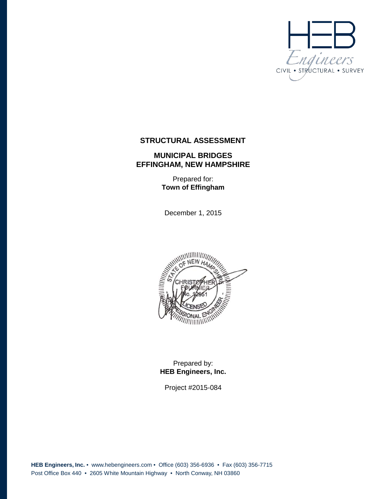

## **STRUCTURAL ASSESSMENT**

### **MUNICIPAL BRIDGES EFFINGHAM, NEW HAMPSHIRE**

Prepared for: **Town of Effingham**

December 1, 2015



## Prepared by: **HEB Engineers, Inc.**

Project #2015-084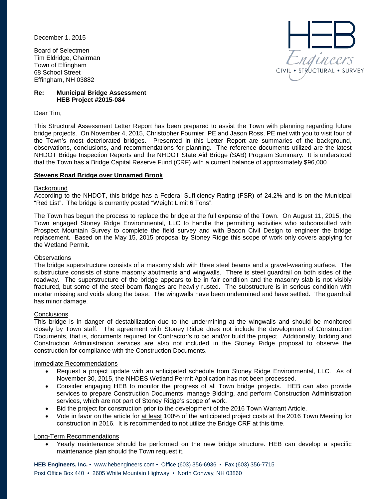December 1, 2015

Board of Selectmen Tim Eldridge, Chairman Town of Effingham 68 School Street Effingham, NH 03882

# ngineers · STRUCTURAL · SURVEY

#### **Re: Municipal Bridge Assessment HEB Project #2015-084**

Dear Tim,

This Structural Assessment Letter Report has been prepared to assist the Town with planning regarding future bridge projects. On November 4, 2015, Christopher Fournier, PE and Jason Ross, PE met with you to visit four of the Town's most deteriorated bridges. Presented in this Letter Report are summaries of the background, observations, conclusions, and recommendations for planning. The reference documents utilized are the latest NHDOT Bridge Inspection Reports and the NHDOT State Aid Bridge (SAB) Program Summary. It is understood that the Town has a Bridge Capital Reserve Fund (CRF) with a current balance of approximately \$96,000.

#### **Stevens Road Bridge over Unnamed Brook**

#### **Background**

According to the NHDOT, this bridge has a Federal Sufficiency Rating (FSR) of 24.2% and is on the Municipal "Red List". The bridge is currently posted "Weight Limit 6 Tons".

The Town has begun the process to replace the bridge at the full expense of the Town. On August 11, 2015, the Town engaged Stoney Ridge Environmental, LLC to handle the permitting activities who subconsulted with Prospect Mountain Survey to complete the field survey and with Bacon Civil Design to engineer the bridge replacement. Based on the May 15, 2015 proposal by Stoney Ridge this scope of work only covers applying for the Wetland Permit.

#### **Observations**

The bridge superstructure consists of a masonry slab with three steel beams and a gravel-wearing surface. The substructure consists of stone masonry abutments and wingwalls. There is steel guardrail on both sides of the roadway. The superstructure of the bridge appears to be in fair condition and the masonry slab is not visibly fractured, but some of the steel beam flanges are heavily rusted. The substructure is in serious condition with mortar missing and voids along the base. The wingwalls have been undermined and have settled. The guardrail has minor damage.

#### **Conclusions**

This bridge is in danger of destabilization due to the undermining at the wingwalls and should be monitored closely by Town staff. The agreement with Stoney Ridge does not include the development of Construction Documents, that is, documents required for Contractor's to bid and/or build the project. Additionally, bidding and Construction Administration services are also not included in the Stoney Ridge proposal to observe the construction for compliance with the Construction Documents.

#### Immediate Recommendations

- Request a project update with an anticipated schedule from Stoney Ridge Environmental, LLC. As of November 30, 2015, the NHDES Wetland Permit Application has not been processed.
- Consider engaging HEB to monitor the progress of all Town bridge projects. HEB can also provide services to prepare Construction Documents, manage Bidding, and perform Construction Administration services, which are not part of Stoney Ridge's scope of work.
- Bid the project for construction prior to the development of the 2016 Town Warrant Article.
- Vote in favor on the article for at least 100% of the anticipated project costs at the 2016 Town Meeting for construction in 2016. It is recommended to not utilize the Bridge CRF at this time.

#### Long-Term Recommendations

• Yearly maintenance should be performed on the new bridge structure. HEB can develop a specific maintenance plan should the Town request it.

**HEB Engineers, Inc.** • [www.hebengineer](http://www.hebengineers.com/)s.com • Office (603) 356-6936 • Fax (603) 356-7715 Post Office Box 440 • 2605 White Mountain Highway • North Conway, NH 03860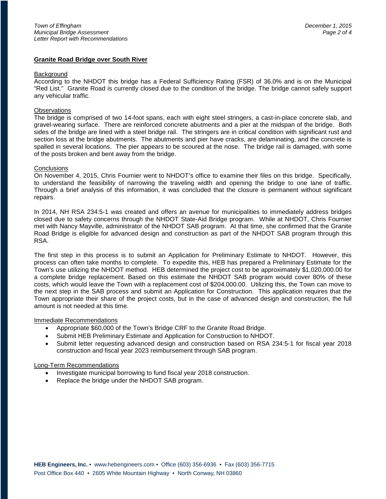#### **Granite Road Bridge over South River**

#### **Background**

According to the NHDOT this bridge has a Federal Sufficiency Rating (FSR) of 36.0% and is on the Municipal "Red List." Granite Road is currently closed due to the condition of the bridge. The bridge cannot safely support any vehicular traffic.

#### **Observations**

The bridge is comprised of two 14-foot spans, each with eight steel stringers, a cast-in-place concrete slab, and gravel-wearing surface. There are reinforced concrete abutments and a pier at the midspan of the bridge. Both sides of the bridge are lined with a steel bridge rail. The stringers are in critical condition with significant rust and section loss at the bridge abutments. The abutments and pier have cracks, are delaminating, and the concrete is spalled in several locations. The pier appears to be scoured at the nose. The bridge rail is damaged, with some of the posts broken and bent away from the bridge.

#### **Conclusions**

On November 4, 2015, Chris Fournier went to NHDOT's office to examine their files on this bridge. Specifically, to understand the feasibility of narrowing the traveling width and opening the bridge to one lane of traffic. Through a brief analysis of this information, it was concluded that the closure is permanent without significant repairs.

In 2014, NH RSA 234:5-1 was created and offers an avenue for municipalities to immediately address bridges closed due to safety concerns through the NHDOT State-Aid Bridge program. While at NHDOT, Chris Fournier met with Nancy Mayville, administrator of the NHDOT SAB program. At that time, she confirmed that the Granite Road Bridge is eligible for advanced design and construction as part of the NHDOT SAB program through this RSA.

The first step in this process is to submit an Application for Preliminary Estimate to NHDOT. However, this process can often take months to complete. To expedite this, HEB has prepared a Preliminary Estimate for the Town's use utilizing the NHDOT method. HEB determined the project cost to be approximately \$1,020,000.00 for a complete bridge replacement. Based on this estimate the NHDOT SAB program would cover 80% of these costs, which would leave the Town with a replacement cost of \$204,000.00. Utilizing this, the Town can move to the next step in the SAB process and submit an Application for Construction. This application requires that the Town appropriate their share of the project costs, but in the case of advanced design and construction, the full amount is not needed at this time.

#### Immediate Recommendations

- Appropriate \$60,000 of the Town's Bridge CRF to the Granite Road Bridge.
- Submit HEB Preliminary Estimate and Application for Construction to NHDOT.
- Submit letter requesting advanced design and construction based on RSA 234:5-1 for fiscal year 2018 construction and fiscal year 2023 reimbursement through SAB program.

#### Long-Term Recommendations

- Investigate municipal borrowing to fund fiscal year 2018 construction.
- Replace the bridge under the NHDOT SAB program.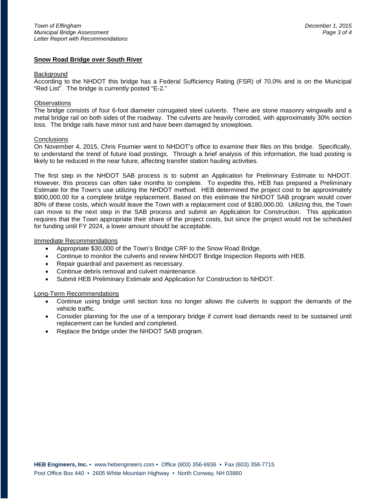#### **Snow Road Bridge over South River**

#### **Background**

According to the NHDOT this bridge has a Federal Sufficiency Rating (FSR) of 70.0% and is on the Municipal "Red List". The bridge is currently posted "E-2."

#### **Observations**

The bridge consists of four 6-foot diameter corrugated steel culverts. There are stone masonry wingwalls and a metal bridge rail on both sides of the roadway. The culverts are heavily corroded, with approximately 30% section loss. The bridge rails have minor rust and have been damaged by snowplows.

#### **Conclusions**

On November 4, 2015, Chris Fournier went to NHDOT's office to examine their files on this bridge. Specifically, to understand the trend of future load postings. Through a brief analysis of this information, the load posting is likely to be reduced in the near future, affecting transfer station hauling activities.

The first step in the NHDOT SAB process is to submit an Application for Preliminary Estimate to NHDOT. However, this process can often take months to complete. To expedite this, HEB has prepared a Preliminary Estimate for the Town's use utilizing the NHDOT method. HEB determined the project cost to be approximately \$900,000.00 for a complete bridge replacement. Based on this estimate the NHDOT SAB program would cover 80% of these costs, which would leave the Town with a replacement cost of \$180,000.00. Utilizing this, the Town can move to the next step in the SAB process and submit an Application for Construction. This application requires that the Town appropriate their share of the project costs, but since the project would not be scheduled for funding until FY 2024, a lower amount should be acceptable.

#### Immediate Recommendations

- Appropriate \$30,000 of the Town's Bridge CRF to the Snow Road Bridge.
- Continue to monitor the culverts and review NHDOT Bridge Inspection Reports with HEB.
- Repair guardrail and pavement as necessary.
- Continue debris removal and culvert maintenance.
- Submit HEB Preliminary Estimate and Application for Construction to NHDOT.

#### Long-Term Recommendations

- Continue using bridge until section loss no longer allows the culverts to support the demands of the vehicle traffic.
- Consider planning for the use of a temporary bridge if current load demands need to be sustained until replacement can be funded and completed.
- Replace the bridge under the NHDOT SAB program.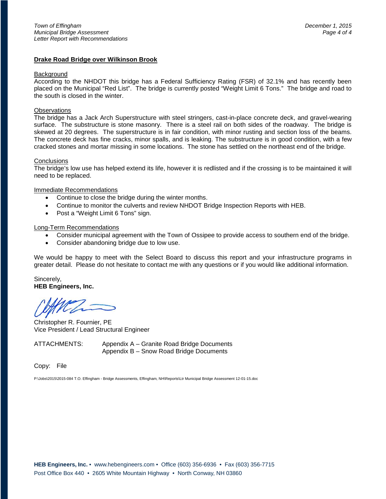#### **Drake Road Bridge over Wilkinson Brook**

#### **Background**

According to the NHDOT this bridge has a Federal Sufficiency Rating (FSR) of 32.1% and has recently been placed on the Municipal "Red List". The bridge is currently posted "Weight Limit 6 Tons." The bridge and road to the south is closed in the winter.

#### **Observations**

The bridge has a Jack Arch Superstructure with steel stringers, cast-in-place concrete deck, and gravel-wearing surface. The substructure is stone masonry. There is a steel rail on both sides of the roadway. The bridge is skewed at 20 degrees. The superstructure is in fair condition, with minor rusting and section loss of the beams. The concrete deck has fine cracks, minor spalls, and is leaking. The substructure is in good condition, with a few cracked stones and mortar missing in some locations. The stone has settled on the northeast end of the bridge.

#### **Conclusions**

The bridge's low use has helped extend its life, however it is redlisted and if the crossing is to be maintained it will need to be replaced.

#### Immediate Recommendations

- Continue to close the bridge during the winter months.
- Continue to monitor the culverts and review NHDOT Bridge Inspection Reports with HEB.
- Post a "Weight Limit 6 Tons" sign.

#### Long-Term Recommendations

- Consider municipal agreement with the Town of Ossipee to provide access to southern end of the bridge.
- Consider abandoning bridge due to low use.

We would be happy to meet with the Select Board to discuss this report and your infrastructure programs in greater detail. Please do not hesitate to contact me with any questions or if you would like additional information.

Sincerely, **HEB Engineers, Inc.**

Christopher R. Fournier, PE Vice President / Lead Structural Engineer

ATTACHMENTS: Appendix A – Granite Road Bridge Documents Appendix B – Snow Road Bridge Documents

Copy: File

P:\Jobs\2015\2015-084 T.O. Effingham - Bridge Assessments, Effingham, NH\Reports\Ltr Municipal Bridge Assessment 12-01-15.doc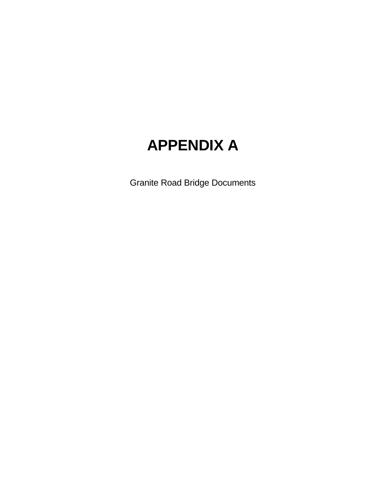# **APPENDIX A**

Granite Road Bridge Documents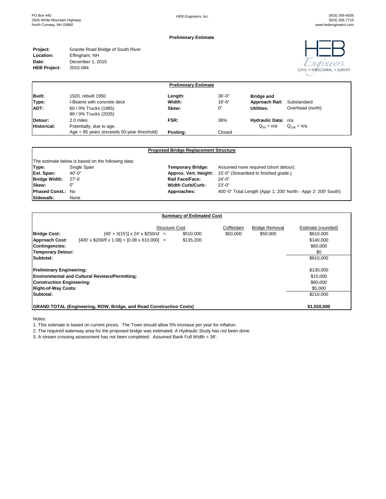#### **Preliminary Estimate**

| Granite Road Bridge of South River |
|------------------------------------|
|                                    |
|                                    |
|                                    |
|                                    |



| <b>Preliminary Estimate</b> |                                                 |          |             |                     |                  |  |
|-----------------------------|-------------------------------------------------|----------|-------------|---------------------|------------------|--|
| Built:                      | 1920, rebuilt 1950                              | Length:  | $36' - 0''$ | <b>Bridge and</b>   |                  |  |
| Type:                       | I-Beams with concrete deck                      | Width:   | $18 - 6"$   | Approach Rail:      | Substandard      |  |
| ADT:                        | 60 / 0% Trucks (1985)<br>89 / 0% Trucks (2035)  | Skew:    | 0°          | Utilities:          | Overhead (north) |  |
| Detour:                     | 2.0 miles                                       | FSR:     | 36%         | Hydraulic Data: n/a |                  |  |
| <b>Historical:</b>          | Potentially, due to age.                        |          |             | $Q_{50} = n/a$      | $Q_{100} = n/a$  |  |
|                             | Age = $95$ years (exceeds $50$ -year threshold) | Postina: | Closed      |                     |                  |  |

|                          | <b>Proposed Bridge Replacement Structure</b>       |                          |                                                                |  |  |  |
|--------------------------|----------------------------------------------------|--------------------------|----------------------------------------------------------------|--|--|--|
|                          | The estimate below is based on the following data: |                          |                                                                |  |  |  |
| Type:                    | Single Span                                        | <b>Temporary Bridge:</b> | Assumed none required (short detour).                          |  |  |  |
| Est. Span:               | 40'-0"                                             | Approx. Vert. Height:    | 15'-0" (Streambed to finished grade.)                          |  |  |  |
| <b>Bridge Width:</b>     | $27 - 0$                                           | Rail Face/Face:          | $24 - 0$ "                                                     |  |  |  |
| Skew:                    | 0°                                                 | <b>Width Curb/Curb:</b>  | $23' - 0''$                                                    |  |  |  |
| <b>Phased Const.: No</b> |                                                    | Approaches:              | 400'-0" Total Length (Appr 1: 200' North - Appr 2: 200' South) |  |  |  |
| Sidewalk:                | None                                               |                          |                                                                |  |  |  |

#### **Summary of Estimated Cost**

|                                                                            |                                                             |  | <b>Structure Cost</b> | Cofferdam | <b>Bridge Removal</b> | Estimate (rounded) |
|----------------------------------------------------------------------------|-------------------------------------------------------------|--|-----------------------|-----------|-----------------------|--------------------|
| <b>Bridge Cost:</b>                                                        | $[40' + 3(15')]$ x 24' x \$250/sf =                         |  | \$510,000             | \$50,000  | \$50,000              | \$610,000          |
| <b>Approach Cost:</b>                                                      | $[400' \times $200/$ If x 1.08] + $[0.08 \times 610,000]$ = |  | \$135,200             |           |                       | \$140.000          |
| <b>Contingencies:</b>                                                      |                                                             |  |                       |           |                       | \$60,000           |
| <b>Temporary Detour:</b>                                                   |                                                             |  |                       |           |                       | \$0                |
| Subtotal:                                                                  |                                                             |  |                       |           |                       | \$810,000          |
| <b>Preliminary Engineering:</b>                                            |                                                             |  |                       |           |                       | \$130,000          |
|                                                                            | <b>Environmental and Cultural Reviews/Permitting:</b>       |  |                       |           |                       | \$15,000           |
| <b>Construction Engineering:</b>                                           |                                                             |  |                       |           |                       | \$60,000           |
| <b>Right-of-Way Costs:</b>                                                 |                                                             |  |                       |           |                       | \$5,000            |
| Subtotal:                                                                  |                                                             |  |                       |           |                       | \$210.000          |
| <b>GRAND TOTAL (Engineering, ROW, Bridge, and Road Construction Costs)</b> |                                                             |  |                       |           | \$1,020,000           |                    |

Notes:

1. This estimate is based on current prices. The Town should allow 5% increase per year for inflation.

2. The required waterway area for the proposed bridge was estimated. A Hydraulic Study has not been done.

3. A stream crossing assessment has not been completed. Assumed Bank Full Width = 36'.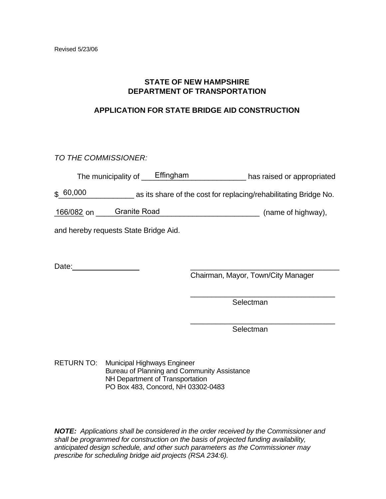# **STATE OF NEW HAMPSHIRE DEPARTMENT OF TRANSPORTATION**

# **APPLICATION FOR STATE BRIDGE AID CONSTRUCTION**

*TO THE COMMISSIONER:* 

| The municipality of | Effingham | has raised or appropriated |
|---------------------|-----------|----------------------------|
|---------------------|-----------|----------------------------|

\$ 60,000 as its share of the cost for replacing/rehabilitating Bridge No.

166/082 on Granite Road 166/082 on Granite Road 166/082 on Granite Road 168 and 168 metal and 168 metal 168 me

and hereby requests State Bridge Aid.

Date: \_\_\_\_\_\_\_\_\_\_\_\_\_\_\_\_\_\_\_\_\_\_\_\_\_\_\_\_\_\_\_\_\_\_\_

Chairman, Mayor, Town/City Manager

\_\_\_\_\_\_\_\_\_\_\_\_\_\_\_\_\_\_\_\_\_\_\_\_\_\_\_\_\_\_\_\_\_\_

\_\_\_\_\_\_\_\_\_\_\_\_\_\_\_\_\_\_\_\_\_\_\_\_\_\_\_\_\_\_\_\_\_\_

Selectman

Selectman

RETURN TO: Municipal Highways Engineer Bureau of Planning and Community Assistance NH Department of Transportation PO Box 483, Concord, NH 03302-0483

*NOTE: Applications shall be considered in the order received by the Commissioner and shall be programmed for construction on the basis of projected funding availability, anticipated design schedule, and other such parameters as the Commissioner may prescribe for scheduling bridge aid projects (RSA 234:6).*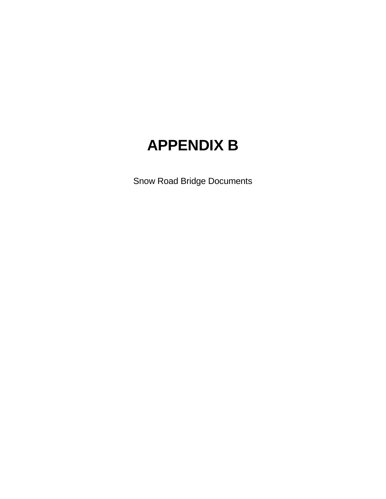# **APPENDIX B**

Snow Road Bridge Documents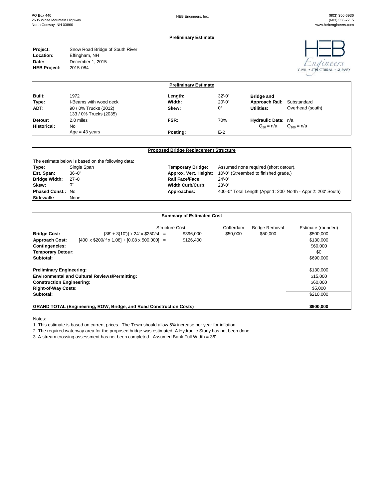#### **Preliminary Estimate**

| Project:            | Snow Road Bridge of South River |
|---------------------|---------------------------------|
| Location:           | Effingham, NH                   |
| Date:               | December 1, 2015                |
| <b>HEB Project:</b> | 2015-084                        |
|                     |                                 |



| <b>Preliminary Estimate</b> |                                                 |          |             |                            |                  |  |
|-----------------------------|-------------------------------------------------|----------|-------------|----------------------------|------------------|--|
| Built:                      | 1972                                            | Length:  | $32 - 0$ "  | <b>Bridge and</b>          |                  |  |
| Type:                       | I-Beams with wood deck                          | Width:   | $20 - 0"$   | Approach Rail: Substandard |                  |  |
| ADT:                        | 90 / 0% Trucks (2012)<br>133 / 0% Trucks (2035) | Skew:    | $0^{\circ}$ | Utilities:                 | Overhead (south) |  |
| Detour:                     | 2.0 miles                                       | FSR:     | 70%         | Hydraulic Data: n/a        |                  |  |
| Historical:                 | N <sub>0</sub>                                  |          |             | $Q_{50} = n/a$             | $Q_{100} = n/a$  |  |
|                             | $Age = 43 years$                                | Posting: | $E-2$       |                            |                  |  |

|                          | <b>Proposed Bridge Replacement Structure</b>       |                          |                                                                |  |  |  |
|--------------------------|----------------------------------------------------|--------------------------|----------------------------------------------------------------|--|--|--|
|                          | The estimate below is based on the following data: |                          |                                                                |  |  |  |
| Type:                    | Single Span                                        | <b>Temporary Bridge:</b> | Assumed none required (short detour).                          |  |  |  |
| Est. Span:               | $36' - 0''$                                        | Approx. Vert. Height:    | 10'-0" (Streambed to finished grade.)                          |  |  |  |
| <b>Bridge Width:</b>     | $27 - 0$                                           | Rail Face/Face:          | $24 - 0"$                                                      |  |  |  |
| Skew:                    | 0°                                                 | <b>Width Curb/Curb:</b>  | $23' - 0''$                                                    |  |  |  |
| <b>Phased Const.: No</b> |                                                    | Approaches:              | 400'-0" Total Length (Appr 1: 200' North - Appr 2: 200' South) |  |  |  |
| Sidewalk:                | None                                               |                          |                                                                |  |  |  |

#### **Summary of Estimated Cost**

|                                                                            |                                                             | <b>Structure Cost</b> |           | Cofferdam | <b>Bridge Removal</b> | Estimate (rounded) |
|----------------------------------------------------------------------------|-------------------------------------------------------------|-----------------------|-----------|-----------|-----------------------|--------------------|
| <b>Bridge Cost:</b>                                                        | $[36' + 3(10')]$ x 24' x \$250/sf =                         |                       | \$396,000 | \$50,000  | \$50,000              | \$500,000          |
| <b>Approach Cost:</b>                                                      | $[400' \times $200/$ If x 1.08] + $[0.08 \times 500,000]$ = |                       | \$126,400 |           |                       | \$130,000          |
| <b>Contingencies:</b>                                                      |                                                             |                       |           |           |                       | \$60,000           |
| Temporary Detour:                                                          |                                                             |                       |           |           |                       | \$0                |
| Subtotal:                                                                  |                                                             |                       |           |           |                       | \$690,000          |
| <b>Preliminary Engineering:</b>                                            |                                                             |                       |           |           |                       | \$130,000          |
|                                                                            | <b>Environmental and Cultural Reviews/Permitting:</b>       |                       |           |           |                       | \$15,000           |
| <b>Construction Engineering:</b>                                           |                                                             |                       |           |           |                       | \$60,000           |
| <b>Right-of-Way Costs:</b>                                                 |                                                             |                       |           |           |                       | \$5,000            |
| Subtotal:                                                                  |                                                             |                       |           |           |                       | \$210,000          |
| <b>GRAND TOTAL (Engineering, ROW, Bridge, and Road Construction Costs)</b> |                                                             |                       |           |           | \$900,000             |                    |

Notes:

1. This estimate is based on current prices. The Town should allow 5% increase per year for inflation.

2. The required waterway area for the proposed bridge was estimated. A Hydraulic Study has not been done.

3. A stream crossing assessment has not been completed. Assumed Bank Full Width = 36'.